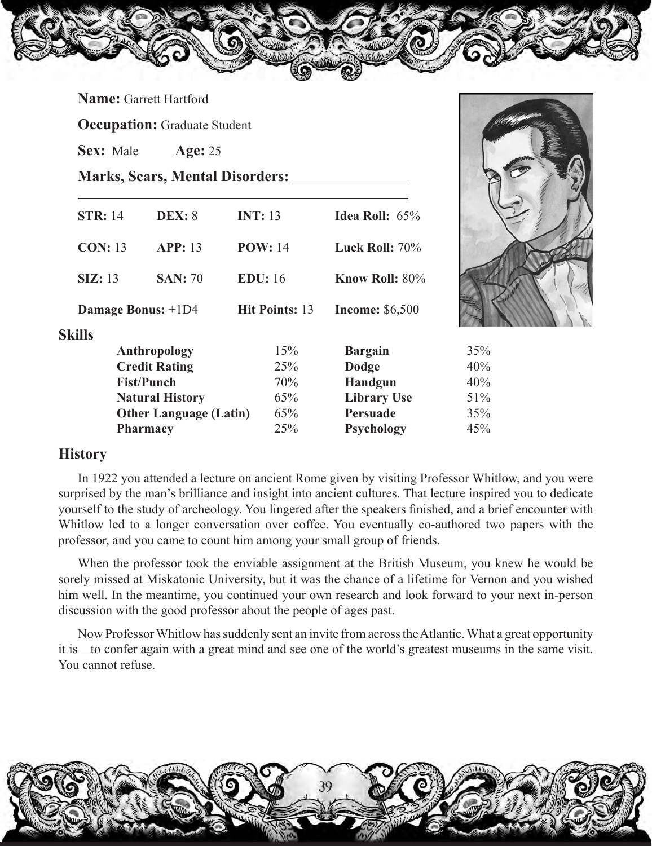|  | <b>Name:</b> Garrett Hartford |
|--|-------------------------------|
|--|-------------------------------|

**Occupation:** Graduate Student

**Sex:** Male **Age:** 25

**Marks, Scars, Mental Disorders:**

| <b>STR: 14</b> | <b>DEX: 8</b>                 | <b>INT: 13</b>        | <b>Idea Roll:</b> $65\%$ |     |
|----------------|-------------------------------|-----------------------|--------------------------|-----|
| <b>CON: 13</b> | <b>APP</b> : 13               | <b>POW: 14</b>        | Luck Roll: $70\%$        |     |
| SL: 13         | <b>SAN</b> : 70               | <b>EDU:</b> 16        | Know Roll: 80%           |     |
|                | Damage Bonus: +1D4            | <b>Hit Points: 13</b> | <b>Income: \$6,500</b>   |     |
| <b>Skills</b>  |                               |                       |                          |     |
|                | Anthropology                  | 15%                   | <b>Bargain</b>           | 35% |
|                | <b>Credit Rating</b>          | 25%                   | Dodge                    | 40% |
|                | <b>Fist/Punch</b>             | 70%                   | <b>Handgun</b>           | 40% |
|                | <b>Natural History</b>        | 65%                   | <b>Library Use</b>       | 51% |
|                | <b>Other Language (Latin)</b> | 65%                   | Persuade                 | 35% |
|                | <b>Pharmacy</b>               | 25%                   | <b>Psychology</b>        | 45% |
|                |                               |                       |                          |     |

## **History**

In 1922 you attended a lecture on ancient Rome given by visiting Professor Whitlow, and you were surprised by the man's brilliance and insight into ancient cultures. That lecture inspired you to dedicate yourself to the study of archeology. You lingered after the speakers finished, and a brief encounter with Whitlow led to a longer conversation over coffee. You eventually co-authored two papers with the professor, and you came to count him among your small group of friends.

When the professor took the enviable assignment at the British Museum, you knew he would be sorely missed at Miskatonic University, but it was the chance of a lifetime for Vernon and you wished him well. In the meantime, you continued your own research and look forward to your next in-person discussion with the good professor about the people of ages past.

Now Professor Whitlow has suddenly sent an invite from across the Atlantic. What a great opportunity it is—to confer again with a great mind and see one of the world's greatest museums in the same visit. You cannot refuse.

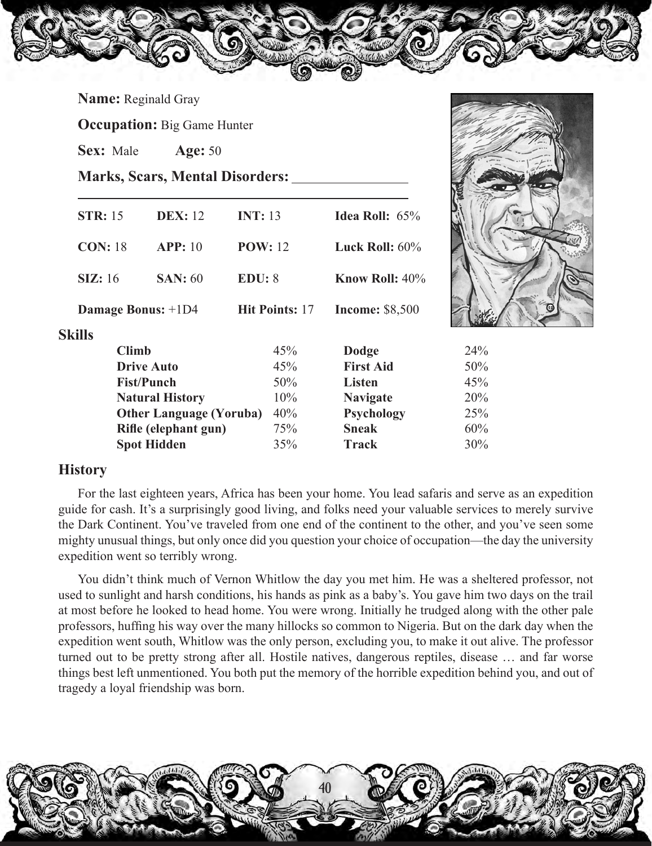**Name:** Reginald Gray

**Occupation:** Big Game Hunter

**Sex:** Male **Age:** 50

**Marks, Scars, Mental Disorders:**

|               | <b>STR: 15</b> | <b>DEX:</b> 12                 | <b>INT: 13</b> |                       | <b>Idea Roll:</b> $65%$  |     |
|---------------|----------------|--------------------------------|----------------|-----------------------|--------------------------|-----|
|               | <b>CON: 18</b> | <b>APP</b> : 10                | <b>POW: 12</b> |                       | Luck Roll: $60\%$        |     |
|               | SL:16          | <b>SAN</b> : 60                | EDU: 8         |                       | <b>Know Roll:</b> $40\%$ |     |
|               |                | Damage Bonus: +1D4             |                | <b>Hit Points: 17</b> | <b>Income: \$8,500</b>   |     |
| <b>Skills</b> |                |                                |                |                       |                          |     |
|               | <b>Climb</b>   |                                |                | 45%                   | <b>Dodge</b>             | 24% |
|               |                | <b>Drive Auto</b>              |                | 45%                   | <b>First Aid</b>         | 50% |
|               |                | <b>Fist/Punch</b>              |                | 50%                   | <b>Listen</b>            | 45% |
|               |                | <b>Natural History</b>         |                | 10%                   | <b>Navigate</b>          | 20% |
|               |                | <b>Other Language (Yoruba)</b> |                | 40%                   | <b>Psychology</b>        | 25% |
|               |                | Rifle (elephant gun)           |                | 75%                   | <b>Sneak</b>             | 60% |
|               |                | <b>Spot Hidden</b>             |                | 35%                   | <b>Track</b>             | 30% |
|               |                |                                |                |                       |                          |     |

## **History**

For the last eighteen years, Africa has been your home. You lead safaris and serve as an expedition guide for cash. It's a surprisingly good living, and folks need your valuable services to merely survive the Dark Continent. You've traveled from one end of the continent to the other, and you've seen some mighty unusual things, but only once did you question your choice of occupation—the day the university expedition went so terribly wrong.

You didn't think much of Vernon Whitlow the day you met him. He was a sheltered professor, not used to sunlight and harsh conditions, his hands as pink as a baby's. You gave him two days on the trail at most before he looked to head home. You were wrong. Initially he trudged along with the other pale professors, huffing his way over the many hillocks so common to Nigeria. But on the dark day when the expedition went south, Whitlow was the only person, excluding you, to make it out alive. The professor turned out to be pretty strong after all. Hostile natives, dangerous reptiles, disease … and far worse things best left unmentioned. You both put the memory of the horrible expedition behind you, and out of tragedy a loyal friendship was born.

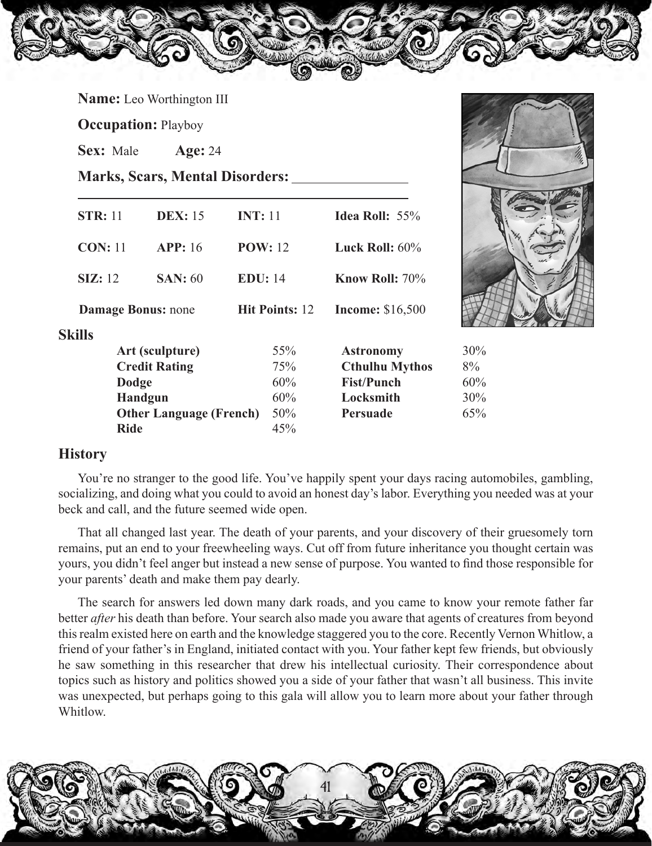**Name:** Leo Worthington III

**Occupation:** Playboy

**Sex:** Male **Age:** 24

**Marks, Scars, Mental Disorders:**

| <b>INT: 11</b><br><b>STR: 11</b><br><b>DEX:</b> 15<br><b>Idea Roll:</b> $55\%$        |
|---------------------------------------------------------------------------------------|
| <b>CON: 11</b><br><b>APP</b> : 16<br><b>POW: 12</b><br>Luck Roll: $60\%$              |
| <b>EDU:</b> 14<br><b>Know Roll: 70%</b><br>$\boldsymbol{\mathrm{SIZ}:}$ 12<br>SAN: 60 |
| <b>Income: \$16,500</b><br><b>Damage Bonus: none</b><br><b>Hit Points: 12</b>         |
|                                                                                       |
| 55%<br>Art (sculpture)<br><b>Astronomy</b>                                            |
| <b>Credit Rating</b><br><b>Cthulhu Mythos</b><br>75%                                  |
| <b>Fist/Punch</b><br>60%<br><b>Dodge</b>                                              |
| <b>Handgun</b><br>60%<br>Locksmith                                                    |
| 50%<br><b>Other Language (French)</b><br>Persuade                                     |
| <b>Ride</b><br>45%                                                                    |



You're no stranger to the good life. You've happily spent your days racing automobiles, gambling, socializing, and doing what you could to avoid an honest day's labor. Everything you needed was at your beck and call, and the future seemed wide open.

That all changed last year. The death of your parents, and your discovery of their gruesomely torn remains, put an end to your freewheeling ways. Cut off from future inheritance you thought certain was yours, you didn't feel anger but instead a new sense of purpose. You wanted to find those responsible for your parents' death and make them pay dearly.

The search for answers led down many dark roads, and you came to know your remote father far better *after* his death than before. Your search also made you aware that agents of creatures from beyond this realm existed here on earth and the knowledge staggered you to the core. Recently Vernon Whitlow, a friend of your father's in England, initiated contact with you. Your father kept few friends, but obviously he saw something in this researcher that drew his intellectual curiosity. Their correspondence about topics such as history and politics showed you a side of your father that wasn't all business. This invite was unexpected, but perhaps going to this gala will allow you to learn more about your father through Whitlow.

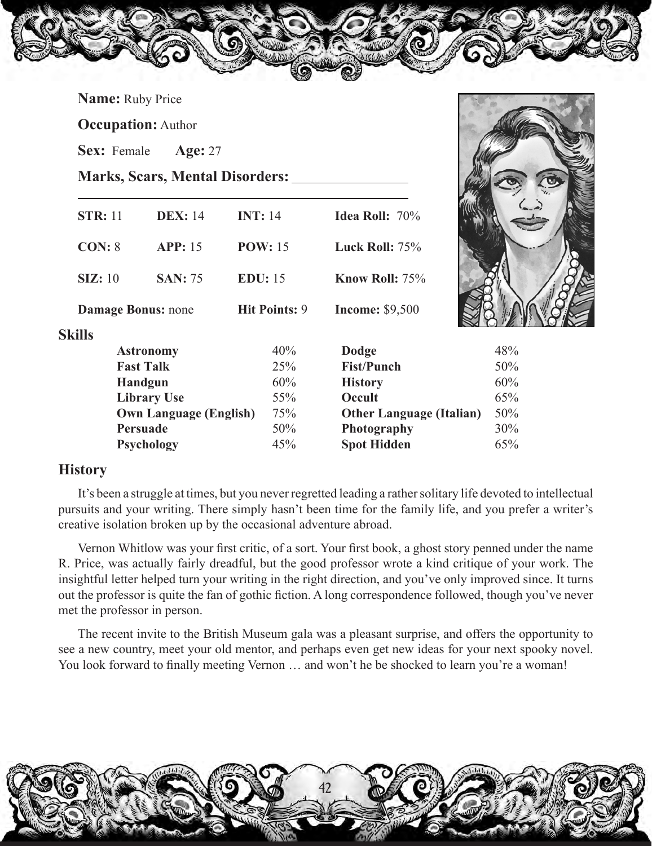| <b>Name:</b> Ruby Price   |                               |                                        |                                 |     |
|---------------------------|-------------------------------|----------------------------------------|---------------------------------|-----|
| <b>Occupation:</b> Author |                               |                                        |                                 |     |
| Sex: Female               | <b>Age: 27</b>                |                                        |                                 |     |
|                           |                               | <b>Marks, Scars, Mental Disorders:</b> |                                 |     |
| <b>STR: 11</b>            | <b>DEX: 14</b>                | <b>INT: 14</b>                         | <b>Idea Roll: 70%</b>           |     |
| <b>CON: 8</b>             | <b>APP: 15</b>                | <b>POW: 15</b>                         | Luck Roll: 75%                  |     |
| <b>SIZ:</b> 10            | <b>SAN: 75</b>                | <b>EDU:</b> 15                         | Know Roll: 75%                  |     |
| <b>Damage Bonus: none</b> |                               | <b>Hit Points: 9</b>                   | <b>Income: \$9,500</b>          |     |
| <b>Skills</b>             |                               |                                        |                                 |     |
|                           | <b>Astronomy</b>              | 40%                                    | <b>Dodge</b>                    | 48% |
|                           | <b>Fast Talk</b>              | 25%                                    | <b>Fist/Punch</b>               | 50% |
|                           | Handgun                       | 60%                                    | <b>History</b>                  | 60% |
|                           | <b>Library Use</b>            | 55%                                    | Occult                          | 65% |
|                           | <b>Own Language (English)</b> | 75%                                    | <b>Other Language (Italian)</b> | 50% |
|                           | Persuade                      | 50%                                    | Photography                     | 30% |
|                           | Psychology                    | 45%                                    | <b>Spot Hidden</b>              | 65% |

## **History**

It's been a struggle at times, but you never regretted leading a rather solitary life devoted to intellectual pursuits and your writing. There simply hasn't been time for the family life, and you prefer a writer's creative isolation broken up by the occasional adventure abroad.

Vernon Whitlow was your first critic, of a sort. Your first book, a ghost story penned under the name R. Price, was actually fairly dreadful, but the good professor wrote a kind critique of your work. The insightful letter helped turn your writing in the right direction, and you've only improved since. It turns out the professor is quite the fan of gothic fiction. A long correspondence followed, though you've never met the professor in person.

The recent invite to the British Museum gala was a pleasant surprise, and offers the opportunity to see a new country, meet your old mentor, and perhaps even get new ideas for your next spooky novel. You look forward to finally meeting Vernon ... and won't he be shocked to learn you're a woman!